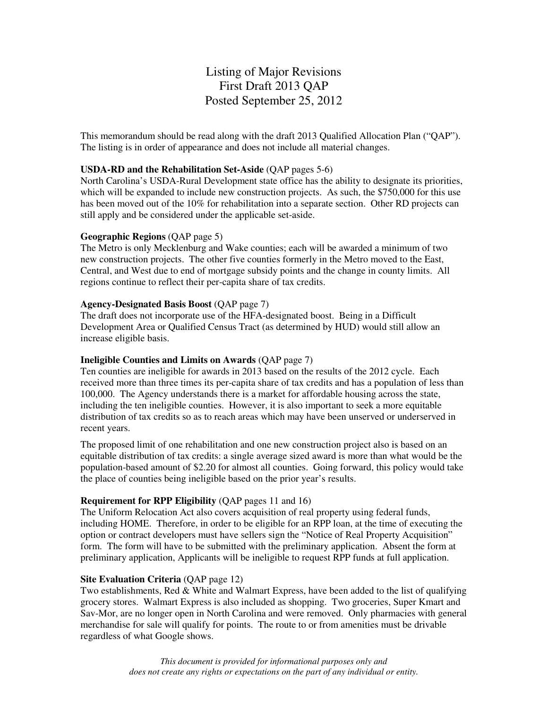# Listing of Major Revisions First Draft 2013 QAP Posted September 25, 2012

This memorandum should be read along with the draft 2013 Qualified Allocation Plan ("QAP"). The listing is in order of appearance and does not include all material changes.

# **USDA-RD and the Rehabilitation Set-Aside** (QAP pages 5-6)

North Carolina's USDA-Rural Development state office has the ability to designate its priorities, which will be expanded to include new construction projects. As such, the \$750,000 for this use has been moved out of the 10% for rehabilitation into a separate section. Other RD projects can still apply and be considered under the applicable set-aside.

## **Geographic Regions** (QAP page 5)

The Metro is only Mecklenburg and Wake counties; each will be awarded a minimum of two new construction projects. The other five counties formerly in the Metro moved to the East, Central, and West due to end of mortgage subsidy points and the change in county limits. All regions continue to reflect their per-capita share of tax credits.

## **Agency-Designated Basis Boost** (QAP page 7)

The draft does not incorporate use of the HFA-designated boost. Being in a Difficult Development Area or Qualified Census Tract (as determined by HUD) would still allow an increase eligible basis.

# **Ineligible Counties and Limits on Awards** (QAP page 7)

Ten counties are ineligible for awards in 2013 based on the results of the 2012 cycle. Each received more than three times its per-capita share of tax credits and has a population of less than 100,000. The Agency understands there is a market for affordable housing across the state, including the ten ineligible counties. However, it is also important to seek a more equitable distribution of tax credits so as to reach areas which may have been unserved or underserved in recent years.

The proposed limit of one rehabilitation and one new construction project also is based on an equitable distribution of tax credits: a single average sized award is more than what would be the population-based amount of \$2.20 for almost all counties. Going forward, this policy would take the place of counties being ineligible based on the prior year's results.

# **Requirement for RPP Eligibility** (QAP pages 11 and 16)

The Uniform Relocation Act also covers acquisition of real property using federal funds, including HOME. Therefore, in order to be eligible for an RPP loan, at the time of executing the option or contract developers must have sellers sign the "Notice of Real Property Acquisition" form. The form will have to be submitted with the preliminary application. Absent the form at preliminary application, Applicants will be ineligible to request RPP funds at full application.

#### **Site Evaluation Criteria (QAP page 12)**

Two establishments, Red & White and Walmart Express, have been added to the list of qualifying grocery stores. Walmart Express is also included as shopping. Two groceries, Super Kmart and Sav-Mor, are no longer open in North Carolina and were removed. Only pharmacies with general merchandise for sale will qualify for points. The route to or from amenities must be drivable regardless of what Google shows.